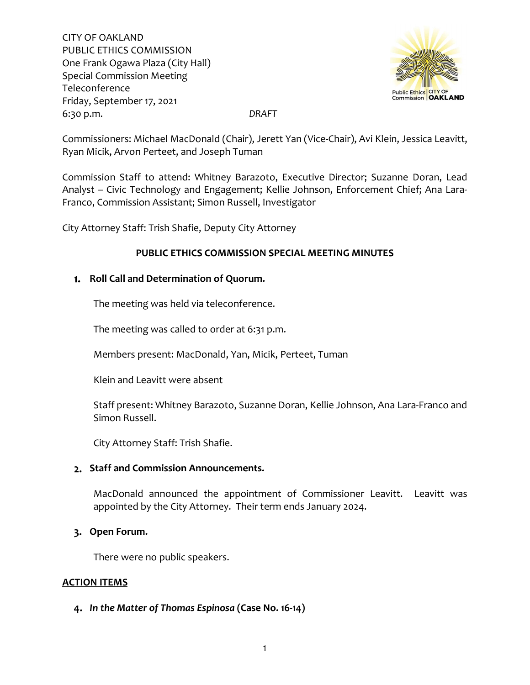

Commissioners: Michael MacDonald (Chair), Jerett Yan (Vice-Chair), Avi Klein, Jessica Leavitt, Ryan Micik, Arvon Perteet, and Joseph Tuman

Commission Staff to attend: Whitney Barazoto, Executive Director; Suzanne Doran, Lead Analyst – Civic Technology and Engagement; Kellie Johnson, Enforcement Chief; Ana Lara-Franco, Commission Assistant; Simon Russell, Investigator

City Attorney Staff: Trish Shafie, Deputy City Attorney

## **PUBLIC ETHICS COMMISSION SPECIAL MEETING MINUTES**

# **Roll Call and Determination of Quorum.**

The meeting was held via teleconference.

The meeting was called to order at 6:31 p.m.

Members present: MacDonald, Yan, Micik, Perteet, Tuman

Klein and Leavitt were absent

Staff present: Whitney Barazoto, Suzanne Doran, Kellie Johnson, Ana Lara-Franco and Simon Russell.

City Attorney Staff: Trish Shafie.

## **Staff and Commission Announcements.**

MacDonald announced the appointment of Commissioner Leavitt. Leavitt was appointed by the City Attorney. Their term ends January 2024.

## **Open Forum.**

There were no public speakers.

## **ACTION ITEMS**

## *In the Matter of Thomas Espinosa* **(Case No. 16-14)**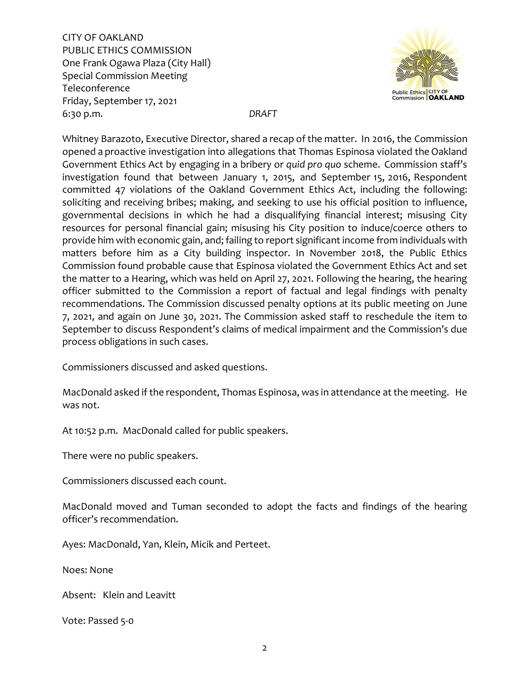

Whitney Barazoto, Executive Director, shared a recap of the matter. In 2016, the Commission opened a proactive investigation into allegations that Thomas Espinosa violated the Oakland Government Ethics Act by engaging in a bribery or *quid pro quo* scheme. Commission staff's investigation found that between January 1, 2015, and September 15, 2016, Respondent committed 47 violations of the Oakland Government Ethics Act, including the following: soliciting and receiving bribes; making, and seeking to use his official position to influence, governmental decisions in which he had a disqualifying financial interest; misusing City resources for personal financial gain; misusing his City position to induce/coerce others to provide him with economic gain, and; failing to report significant income from individuals with matters before him as a City building inspector. In November 2018, the Public Ethics Commission found probable cause that Espinosa violated the Government Ethics Act and set the matter to a Hearing, which was held on April 27, 2021. Following the hearing, the hearing officer submitted to the Commission a report of factual and legal findings with penalty recommendations. The Commission discussed penalty options at its public meeting on June 7, 2021, and again on June 30, 2021. The Commission asked staff to reschedule the item to September to discuss Respondent's claims of medical impairment and the Commission's due process obligations in such cases.

Commissioners discussed and asked questions.

MacDonald asked if the respondent, Thomas Espinosa, was in attendance at the meeting. He was not.

At 10:52 p.m. MacDonald called for public speakers.

There were no public speakers.

Commissioners discussed each count.

MacDonald moved and Tuman seconded to adopt the facts and findings of the hearing officer's recommendation.

Ayes: MacDonald, Yan, Klein, Micik and Perteet.

Noes: None

Absent: Klein and Leavitt

Vote: Passed 5-0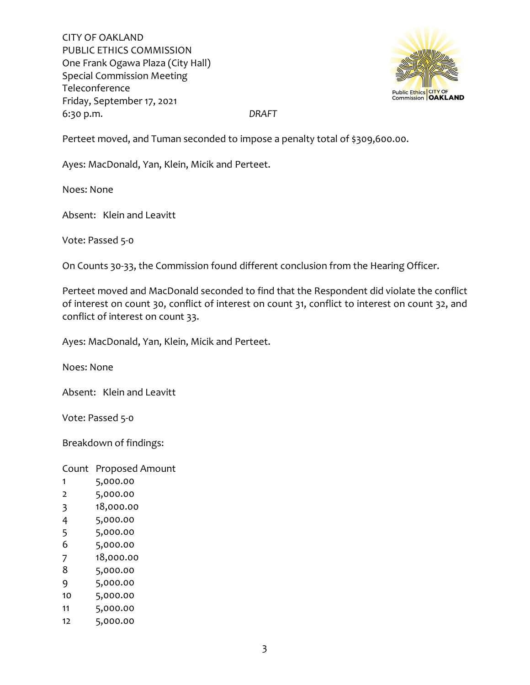

Perteet moved, and Tuman seconded to impose a penalty total of \$309,600.00.

Ayes: MacDonald, Yan, Klein, Micik and Perteet.

Noes: None

Absent: Klein and Leavitt

Vote: Passed 5-0

On Counts 30-33, the Commission found different conclusion from the Hearing Officer.

Perteet moved and MacDonald seconded to find that the Respondent did violate the conflict of interest on count 30, conflict of interest on count 31, conflict to interest on count 32, and conflict of interest on count 33.

Ayes: MacDonald, Yan, Klein, Micik and Perteet.

Noes: None

Absent: Klein and Leavitt

Vote: Passed 5-0

Breakdown of findings:

Count Proposed Amount

- 1 5,000.00
- 2 5,000.00
- 3 18,000.00
- 4 5,000.00
- 5 5,000.00
- 6 5,000.00
- 7 18,000.00
- 8 5,000.00
- 9 5,000.00
- 10 5,000.00
- 11 5,000.00
- 12 5,000.00